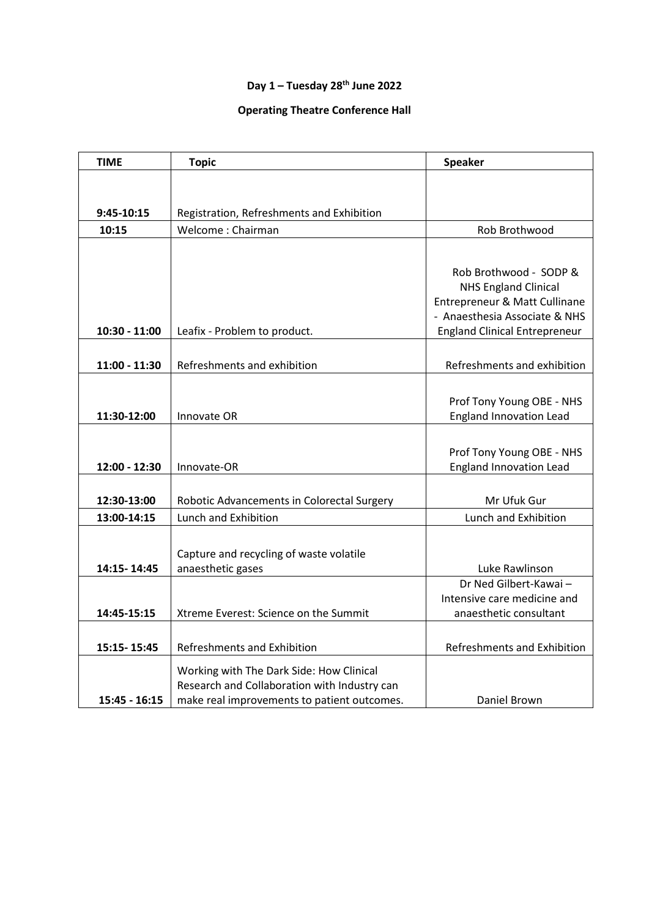## **Day 1 – Tuesday 28th June 2022**

## **Operating Theatre Conference Hall**

| <b>TIME</b>     | <b>Topic</b>                                 | <b>Speaker</b>                       |
|-----------------|----------------------------------------------|--------------------------------------|
|                 |                                              |                                      |
|                 |                                              |                                      |
| 9:45-10:15      | Registration, Refreshments and Exhibition    |                                      |
| 10:15           | Welcome: Chairman                            | Rob Brothwood                        |
|                 |                                              |                                      |
|                 |                                              | Rob Brothwood - SODP &               |
|                 |                                              | <b>NHS England Clinical</b>          |
|                 |                                              | Entrepreneur & Matt Cullinane        |
|                 |                                              | - Anaesthesia Associate & NHS        |
| $10:30 - 11:00$ | Leafix - Problem to product.                 | <b>England Clinical Entrepreneur</b> |
|                 |                                              |                                      |
| $11:00 - 11:30$ | Refreshments and exhibition                  | Refreshments and exhibition          |
|                 |                                              |                                      |
|                 |                                              | Prof Tony Young OBE - NHS            |
| 11:30-12:00     | Innovate OR                                  | <b>England Innovation Lead</b>       |
|                 |                                              |                                      |
|                 |                                              | Prof Tony Young OBE - NHS            |
| 12:00 - 12:30   | Innovate-OR                                  | <b>England Innovation Lead</b>       |
|                 |                                              |                                      |
| 12:30-13:00     | Robotic Advancements in Colorectal Surgery   | Mr Ufuk Gur                          |
| 13:00-14:15     | Lunch and Exhibition                         | Lunch and Exhibition                 |
|                 |                                              |                                      |
|                 | Capture and recycling of waste volatile      |                                      |
| 14:15-14:45     | anaesthetic gases                            | Luke Rawlinson                       |
|                 |                                              | Dr Ned Gilbert-Kawai-                |
|                 |                                              | Intensive care medicine and          |
| 14:45-15:15     | Xtreme Everest: Science on the Summit        | anaesthetic consultant               |
|                 |                                              |                                      |
| 15:15-15:45     | <b>Refreshments and Exhibition</b>           | Refreshments and Exhibition          |
|                 | Working with The Dark Side: How Clinical     |                                      |
|                 | Research and Collaboration with Industry can |                                      |
| $15:45 - 16:15$ | make real improvements to patient outcomes.  | Daniel Brown                         |